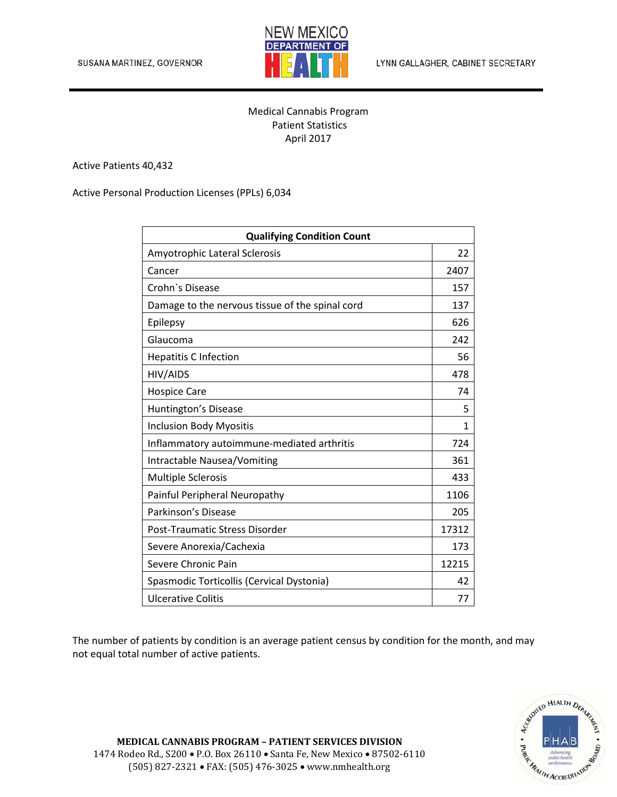

LYNN GALLAGHER, CABINET SECRETARY

## Medical Cannabis Program Patient Statistics April 2017

Active Patients 40,432

Active Personal Production Licenses (PPLs) 6,034

| <b>Qualifying Condition Count</b>               |       |
|-------------------------------------------------|-------|
| Amyotrophic Lateral Sclerosis                   | 22    |
| Cancer                                          | 2407  |
| Crohn's Disease                                 | 157   |
| Damage to the nervous tissue of the spinal cord | 137   |
| Epilepsy                                        | 626   |
| Glaucoma                                        | 242   |
| <b>Hepatitis C Infection</b>                    | 56    |
| HIV/AIDS                                        | 478   |
| <b>Hospice Care</b>                             | 74    |
| <b>Huntington's Disease</b>                     | 5     |
| <b>Inclusion Body Myositis</b>                  | 1     |
| Inflammatory autoimmune-mediated arthritis      | 724   |
| Intractable Nausea/Vomiting                     | 361   |
| <b>Multiple Sclerosis</b>                       | 433   |
| Painful Peripheral Neuropathy                   | 1106  |
| Parkinson's Disease                             | 205   |
| Post-Traumatic Stress Disorder                  | 17312 |
| Severe Anorexia/Cachexia                        | 173   |
| Severe Chronic Pain                             | 12215 |
| Spasmodic Torticollis (Cervical Dystonia)       | 42    |
| <b>Ulcerative Colitis</b>                       | 77    |

The number of patients by condition is an average patient census by condition for the month, and may not equal total number of active patients.



**MEDICAL CANNABIS PROGRAM – PATIENT SERVICES DIVISION** 1474 Rodeo Rd., S200 • P.O. Box 26110 • Santa Fe, New Mexico • 87502-6110 (505) 827-2321 • FAX: (505) 476-3025 • www.nmhealth.org